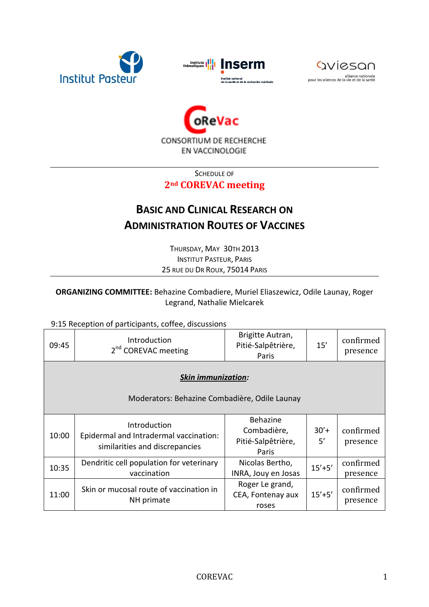







SCHEDULE OF

## **2nd COREVAC meeting**

## **BASIC AND CLINICAL RESEARCH ON ADMINISTRATION ROUTES OF VACCINES**

THURSDAY, MAY 30TH 2013 INSTITUT PASTEUR, PARIS 25 RUE DU DR ROUX, 75014 PARIS

## **ORGANIZING COMMITTEE:** Behazine Combadiere, Muriel Eliaszewicz, Odile Launay, Roger Legrand, Nathalie Mielcarek

## 9:15 Reception of participants, coffee, discussions

| 09:45                                                                      | Introduction<br>2 <sup>nd</sup> COREVAC meeting                                          | Brigitte Autran,<br>Pitié-Salpêtrière,<br>Paris        | 15'           | confirmed<br>presence |  |  |
|----------------------------------------------------------------------------|------------------------------------------------------------------------------------------|--------------------------------------------------------|---------------|-----------------------|--|--|
| <b>Skin immunization:</b><br>Moderators: Behazine Combadière, Odile Launay |                                                                                          |                                                        |               |                       |  |  |
| 10:00                                                                      | Introduction<br>Epidermal and Intradermal vaccination:<br>similarities and discrepancies | Behazine<br>Combadière,<br>Pitié-Salpêtrière,<br>Paris | $30'$ +<br>5' | confirmed<br>presence |  |  |
| 10:35                                                                      | Dendritic cell population for veterinary<br>vaccination                                  | Nicolas Bertho,<br>INRA, Jouy en Josas                 | $15'+5'$      | confirmed<br>presence |  |  |
| 11:00                                                                      | Skin or mucosal route of vaccination in<br>NH primate                                    | Roger Le grand,<br>CEA, Fontenay aux<br>roses          | $15'+5'$      | confirmed<br>presence |  |  |